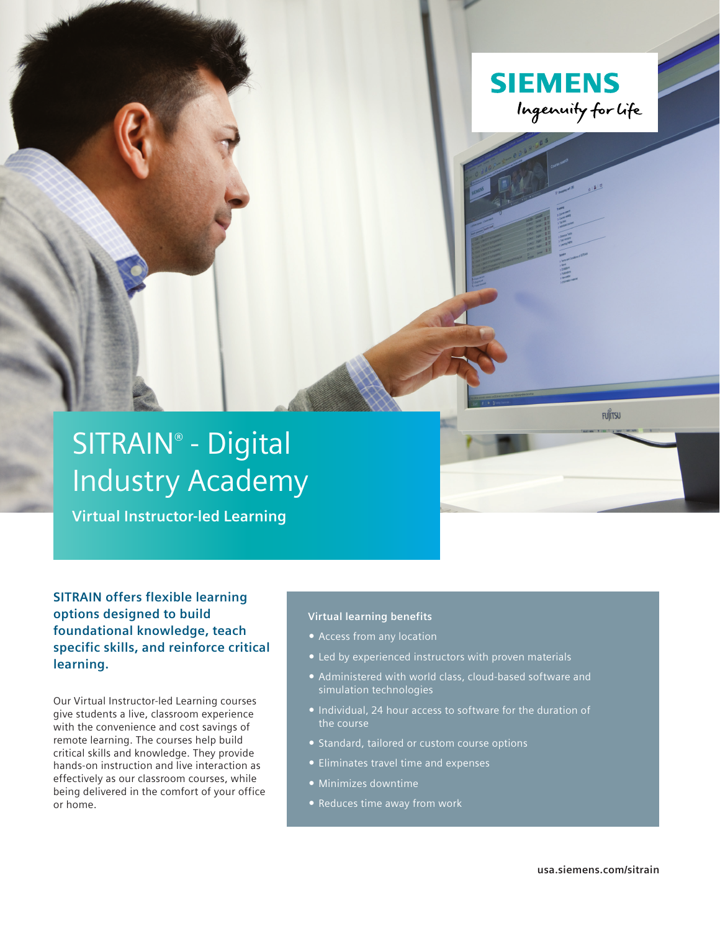

# SITRAIN® - Digital Industry Academy

**Virtual Instructor-led Learning**

# **SITRAIN offers flexible learning options designed to build foundational knowledge, teach specific skills, and reinforce critical learning.**

Our Virtual Instructor-led Learning courses give students a live, classroom experience with the convenience and cost savings of remote learning. The courses help build critical skills and knowledge. They provide hands-on instruction and live interaction as effectively as our classroom courses, while being delivered in the comfort of your office or home.

# **Virtual learning benefits**

- Access from any location
- Led by experienced instructors with proven materials
- Administered with world class, cloud-based software and simulation technologies
- **Individual, 24 hour access to software for the duration of** the course
- **Standard, tailored or custom course options**
- Eliminates travel time and expenses
- Minimizes downtime
- Reduces time away from work

**FUJITSU**